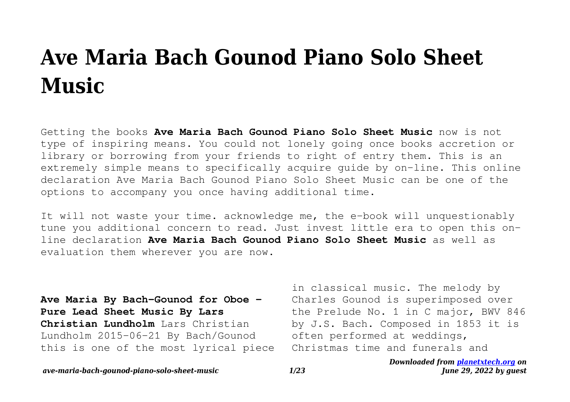# **Ave Maria Bach Gounod Piano Solo Sheet Music**

Getting the books **Ave Maria Bach Gounod Piano Solo Sheet Music** now is not type of inspiring means. You could not lonely going once books accretion or library or borrowing from your friends to right of entry them. This is an extremely simple means to specifically acquire guide by on-line. This online declaration Ave Maria Bach Gounod Piano Solo Sheet Music can be one of the options to accompany you once having additional time.

It will not waste your time. acknowledge me, the e-book will unquestionably tune you additional concern to read. Just invest little era to open this online declaration **Ave Maria Bach Gounod Piano Solo Sheet Music** as well as evaluation them wherever you are now.

**Ave Maria By Bach-Gounod for Oboe - Pure Lead Sheet Music By Lars Christian Lundholm** Lars Christian Lundholm 2015-06-21 By Bach/Gounod this is one of the most lyrical piece

in classical music. The melody by Charles Gounod is superimposed over the Prelude No. 1 in C major, BWV 846 by J.S. Bach. Composed in 1853 it is often performed at weddings, Christmas time and funerals and

*ave-maria-bach-gounod-piano-solo-sheet-music 1/23*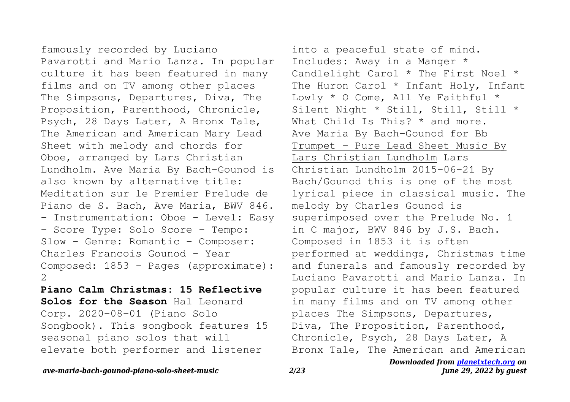famously recorded by Luciano Pavarotti and Mario Lanza. In popular culture it has been featured in many films and on TV among other places The Simpsons, Departures, Diva, The Proposition, Parenthood, Chronicle, Psych, 28 Days Later, A Bronx Tale, The American and American Mary Lead Sheet with melody and chords for Oboe, arranged by Lars Christian Lundholm. Ave Maria By Bach-Gounod is also known by alternative title: Meditation sur le Premier Prelude de Piano de S. Bach, Ave Maria, BWV 846. - Instrumentation: Oboe - Level: Easy - Score Type: Solo Score - Tempo: Slow - Genre: Romantic - Composer: Charles Francois Gounod - Year Composed: 1853 - Pages (approximate): 2

**Piano Calm Christmas: 15 Reflective Solos for the Season** Hal Leonard Corp. 2020-08-01 (Piano Solo Songbook). This songbook features 15 seasonal piano solos that will elevate both performer and listener

into a peaceful state of mind. Includes: Away in a Manger \* Candlelight Carol \* The First Noel \* The Huron Carol \* Infant Holy, Infant Lowly \* O Come, All Ye Faithful \* Silent Night \* Still, Still, Still \* What Child Is This? \* and more. Ave Maria By Bach-Gounod for Bb Trumpet - Pure Lead Sheet Music By Lars Christian Lundholm Lars Christian Lundholm 2015-06-21 By Bach/Gounod this is one of the most lyrical piece in classical music. The melody by Charles Gounod is superimposed over the Prelude No. 1 in C major, BWV 846 by J.S. Bach. Composed in 1853 it is often performed at weddings, Christmas time and funerals and famously recorded by Luciano Pavarotti and Mario Lanza. In popular culture it has been featured in many films and on TV among other places The Simpsons, Departures, Diva, The Proposition, Parenthood, Chronicle, Psych, 28 Days Later, A Bronx Tale, The American and American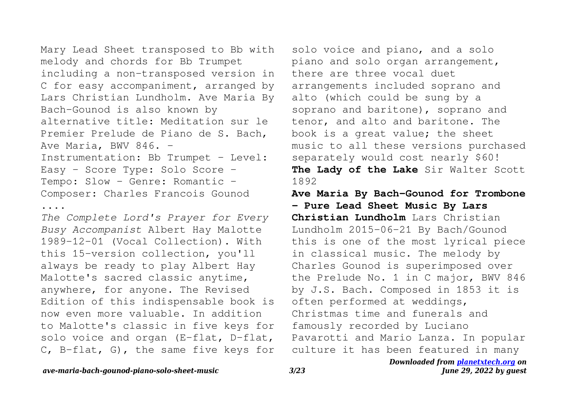Mary Lead Sheet transposed to Bb with melody and chords for Bb Trumpet including a non-transposed version in C for easy accompaniment, arranged by Lars Christian Lundholm. Ave Maria By Bach-Gounod is also known by alternative title: Meditation sur le Premier Prelude de Piano de S. Bach, Ave Maria, BWV 846. -Instrumentation: Bb Trumpet - Level: Easy - Score Type: Solo Score - Tempo: Slow - Genre: Romantic -Composer: Charles Francois Gounod

....

*The Complete Lord's Prayer for Every Busy Accompanist* Albert Hay Malotte 1989-12-01 (Vocal Collection). With this 15-version collection, you'll always be ready to play Albert Hay Malotte's sacred classic anytime, anywhere, for anyone. The Revised Edition of this indispensable book is now even more valuable. In addition to Malotte's classic in five keys for solo voice and organ (E-flat, D-flat, C, B-flat, G), the same five keys for

solo voice and piano, and a solo piano and solo organ arrangement, there are three vocal duet arrangements included soprano and alto (which could be sung by a soprano and baritone), soprano and tenor, and alto and baritone. The book is a great value; the sheet music to all these versions purchased separately would cost nearly \$60! **The Lady of the Lake** Sir Walter Scott 1892

**Ave Maria By Bach-Gounod for Trombone - Pure Lead Sheet Music By Lars Christian Lundholm** Lars Christian Lundholm 2015-06-21 By Bach/Gounod this is one of the most lyrical piece in classical music. The melody by Charles Gounod is superimposed over the Prelude No. 1 in C major, BWV 846 by J.S. Bach. Composed in 1853 it is often performed at weddings, Christmas time and funerals and famously recorded by Luciano Pavarotti and Mario Lanza. In popular culture it has been featured in many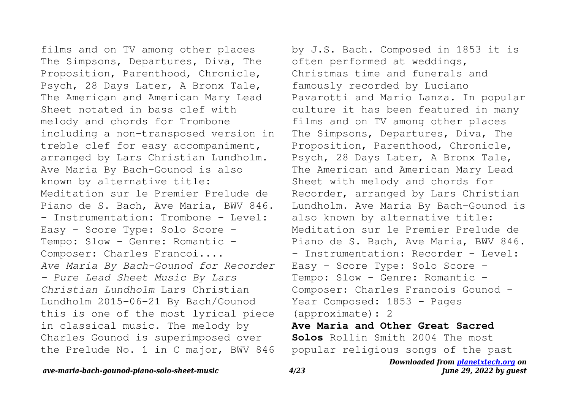films and on TV among other places The Simpsons, Departures, Diva, The Proposition, Parenthood, Chronicle, Psych, 28 Days Later, A Bronx Tale, The American and American Mary Lead Sheet notated in bass clef with melody and chords for Trombone including a non-transposed version in treble clef for easy accompaniment, arranged by Lars Christian Lundholm. Ave Maria By Bach-Gounod is also known by alternative title: Meditation sur le Premier Prelude de Piano de S. Bach, Ave Maria, BWV 846. - Instrumentation: Trombone - Level: Easy - Score Type: Solo Score - Tempo: Slow - Genre: Romantic -Composer: Charles Francoi.... *Ave Maria By Bach-Gounod for Recorder - Pure Lead Sheet Music By Lars Christian Lundholm* Lars Christian Lundholm 2015-06-21 By Bach/Gounod this is one of the most lyrical piece in classical music. The melody by Charles Gounod is superimposed over the Prelude No. 1 in C major, BWV 846

by J.S. Bach. Composed in 1853 it is often performed at weddings, Christmas time and funerals and famously recorded by Luciano Pavarotti and Mario Lanza. In popular culture it has been featured in many films and on TV among other places The Simpsons, Departures, Diva, The Proposition, Parenthood, Chronicle, Psych, 28 Days Later, A Bronx Tale, The American and American Mary Lead Sheet with melody and chords for Recorder, arranged by Lars Christian Lundholm. Ave Maria By Bach-Gounod is also known by alternative title: Meditation sur le Premier Prelude de Piano de S. Bach, Ave Maria, BWV 846. - Instrumentation: Recorder - Level: Easy - Score Type: Solo Score - Tempo: Slow - Genre: Romantic -Composer: Charles Francois Gounod - Year Composed: 1853 - Pages (approximate): 2 **Ave Maria and Other Great Sacred Solos** Rollin Smith 2004 The most popular religious songs of the past

# *ave-maria-bach-gounod-piano-solo-sheet-music 4/23*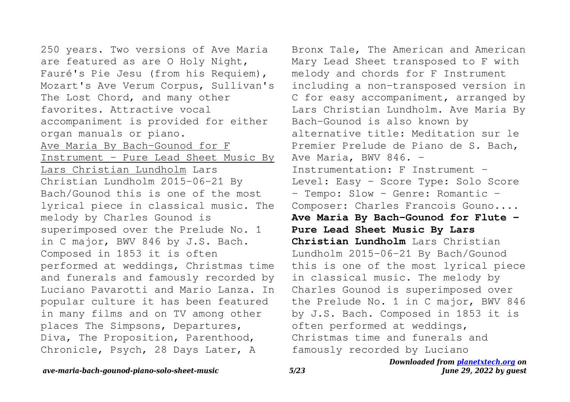250 years. Two versions of Ave Maria are featured as are O Holy Night, Fauré's Pie Jesu (from his Requiem), Mozart's Ave Verum Corpus, Sullivan's The Lost Chord, and many other favorites. Attractive vocal accompaniment is provided for either organ manuals or piano. Ave Maria By Bach-Gounod for F Instrument - Pure Lead Sheet Music By Lars Christian Lundholm Lars Christian Lundholm 2015-06-21 By Bach/Gounod this is one of the most lyrical piece in classical music. The melody by Charles Gounod is superimposed over the Prelude No. 1 in C major, BWV 846 by J.S. Bach. Composed in 1853 it is often performed at weddings, Christmas time and funerals and famously recorded by Luciano Pavarotti and Mario Lanza. In popular culture it has been featured in many films and on TV among other places The Simpsons, Departures, Diva, The Proposition, Parenthood, Chronicle, Psych, 28 Days Later, A

Bronx Tale, The American and American Mary Lead Sheet transposed to F with melody and chords for F Instrument including a non-transposed version in C for easy accompaniment, arranged by Lars Christian Lundholm. Ave Maria By Bach-Gounod is also known by alternative title: Meditation sur le Premier Prelude de Piano de S. Bach, Ave Maria, BWV 846. -Instrumentation: F Instrument - Level: Easy - Score Type: Solo Score - Tempo: Slow - Genre: Romantic -Composer: Charles Francois Gouno.... **Ave Maria By Bach-Gounod for Flute - Pure Lead Sheet Music By Lars Christian Lundholm** Lars Christian Lundholm 2015-06-21 By Bach/Gounod this is one of the most lyrical piece in classical music. The melody by Charles Gounod is superimposed over the Prelude No. 1 in C major, BWV 846 by J.S. Bach. Composed in 1853 it is often performed at weddings, Christmas time and funerals and famously recorded by Luciano

# *ave-maria-bach-gounod-piano-solo-sheet-music 5/23*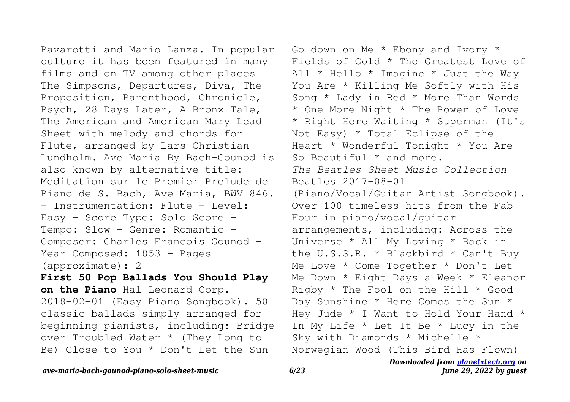Pavarotti and Mario Lanza. In popular culture it has been featured in many films and on TV among other places The Simpsons, Departures, Diva, The Proposition, Parenthood, Chronicle, Psych, 28 Days Later, A Bronx Tale, The American and American Mary Lead Sheet with melody and chords for Flute, arranged by Lars Christian Lundholm. Ave Maria By Bach-Gounod is also known by alternative title: Meditation sur le Premier Prelude de Piano de S. Bach, Ave Maria, BWV 846. - Instrumentation: Flute - Level: Easy - Score Type: Solo Score - Tempo: Slow - Genre: Romantic -Composer: Charles Francois Gounod - Year Composed: 1853 - Pages (approximate): 2

**First 50 Pop Ballads You Should Play on the Piano** Hal Leonard Corp. 2018-02-01 (Easy Piano Songbook). 50 classic ballads simply arranged for beginning pianists, including: Bridge over Troubled Water \* (They Long to Be) Close to You \* Don't Let the Sun

Go down on Me \* Ebony and Ivory \* Fields of Gold \* The Greatest Love of All \* Hello \* Imagine \* Just the Way You Are \* Killing Me Softly with His Song \* Lady in Red \* More Than Words \* One More Night \* The Power of Love \* Right Here Waiting \* Superman (It's Not Easy) \* Total Eclipse of the Heart \* Wonderful Tonight \* You Are So Beautiful \* and more. *The Beatles Sheet Music Collection* Beatles 2017-08-01 (Piano/Vocal/Guitar Artist Songbook). Over 100 timeless hits from the Fab Four in piano/vocal/guitar arrangements, including: Across the Universe \* All My Loving \* Back in the U.S.S.R. \* Blackbird \* Can't Buy Me Love \* Come Together \* Don't Let Me Down \* Eight Days a Week \* Eleanor Rigby \* The Fool on the Hill \* Good Day Sunshine \* Here Comes the Sun \* Hey Jude \* I Want to Hold Your Hand \* In My Life \* Let It Be \* Lucy in the Sky with Diamonds \* Michelle \* Norwegian Wood (This Bird Has Flown)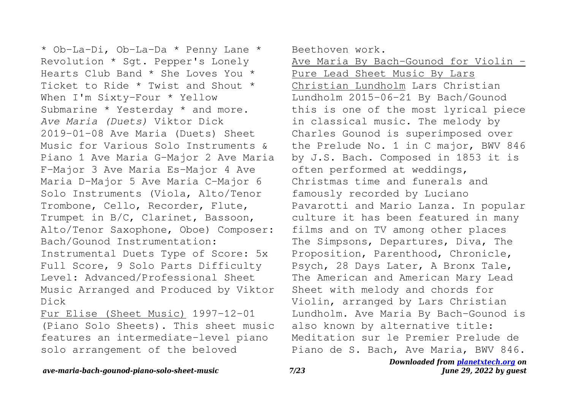\* Ob-La-Di, Ob-La-Da \* Penny Lane \* Revolution \* Sgt. Pepper's Lonely Hearts Club Band \* She Loves You \* Ticket to Ride \* Twist and Shout \* When I'm Sixty-Four \* Yellow Submarine \* Yesterday \* and more. *Ave Maria (Duets)* Viktor Dick 2019-01-08 Ave Maria (Duets) Sheet Music for Various Solo Instruments & Piano 1 Ave Maria G-Major 2 Ave Maria F-Major 3 Ave Maria Es-Major 4 Ave Maria D-Major 5 Ave Maria C-Major 6 Solo Instruments (Viola, Alto/Tenor Trombone, Cello, Recorder, Flute, Trumpet in B/C, Clarinet, Bassoon, Alto/Tenor Saxophone, Oboe) Composer: Bach/Gounod Instrumentation: Instrumental Duets Type of Score: 5x Full Score, 9 Solo Parts Difficulty Level: Advanced/Professional Sheet Music Arranged and Produced by Viktor Dick

Fur Elise (Sheet Music) 1997-12-01 (Piano Solo Sheets). This sheet music features an intermediate-level piano solo arrangement of the beloved

Beethoven work.

Ave Maria By Bach-Gounod for Violin -Pure Lead Sheet Music By Lars Christian Lundholm Lars Christian Lundholm 2015-06-21 By Bach/Gounod this is one of the most lyrical piece in classical music. The melody by Charles Gounod is superimposed over the Prelude No. 1 in C major, BWV 846 by J.S. Bach. Composed in 1853 it is often performed at weddings, Christmas time and funerals and famously recorded by Luciano Pavarotti and Mario Lanza. In popular culture it has been featured in many films and on TV among other places The Simpsons, Departures, Diva, The Proposition, Parenthood, Chronicle, Psych, 28 Days Later, A Bronx Tale, The American and American Mary Lead Sheet with melody and chords for Violin, arranged by Lars Christian Lundholm. Ave Maria By Bach-Gounod is also known by alternative title: Meditation sur le Premier Prelude de Piano de S. Bach, Ave Maria, BWV 846.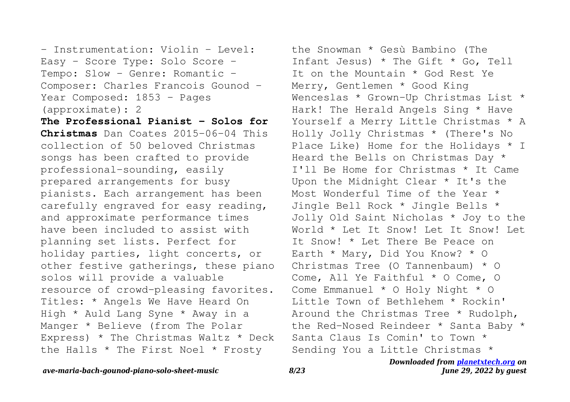- Instrumentation: Violin - Level: Easy - Score Type: Solo Score - Tempo: Slow - Genre: Romantic - Composer: Charles Francois Gounod - Year Composed: 1853 - Pages (approximate): 2

**The Professional Pianist - Solos for Christmas** Dan Coates 2015-06-04 This collection of 50 beloved Christmas songs has been crafted to provide professional-sounding, easily prepared arrangements for busy pianists. Each arrangement has been carefully engraved for easy reading, and approximate performance times have been included to assist with planning set lists. Perfect for holiday parties, light concerts, or other festive gatherings, these piano solos will provide a valuable resource of crowd-pleasing favorites. Titles: \* Angels We Have Heard On High \* Auld Lang Syne \* Away in a Manger \* Believe (from The Polar Express) \* The Christmas Waltz \* Deck the Halls \* The First Noel \* Frosty

the Snowman \* Gesù Bambino (The Infant Jesus) \* The Gift \* Go, Tell It on the Mountain \* God Rest Ye Merry, Gentlemen \* Good King Wenceslas \* Grown-Up Christmas List \* Hark! The Herald Angels Sing \* Have Yourself a Merry Little Christmas \* A Holly Jolly Christmas \* (There's No Place Like) Home for the Holidays \* I Heard the Bells on Christmas Day \* I'll Be Home for Christmas \* It Came Upon the Midnight Clear \* It's the Most Wonderful Time of the Year \* Jingle Bell Rock \* Jingle Bells \* Jolly Old Saint Nicholas \* Joy to the World \* Let It Snow! Let It Snow! Let It Snow! \* Let There Be Peace on Earth \* Mary, Did You Know? \* O Christmas Tree (O Tannenbaum) \* O Come, All Ye Faithful \* O Come, O Come Emmanuel \* O Holy Night \* O Little Town of Bethlehem \* Rockin' Around the Christmas Tree \* Rudolph, the Red-Nosed Reindeer \* Santa Baby \* Santa Claus Is Comin' to Town \* Sending You a Little Christmas \*

# *Downloaded from [planetxtech.org](https://planetxtech.org) on June 29, 2022 by guest*

# *ave-maria-bach-gounod-piano-solo-sheet-music 8/23*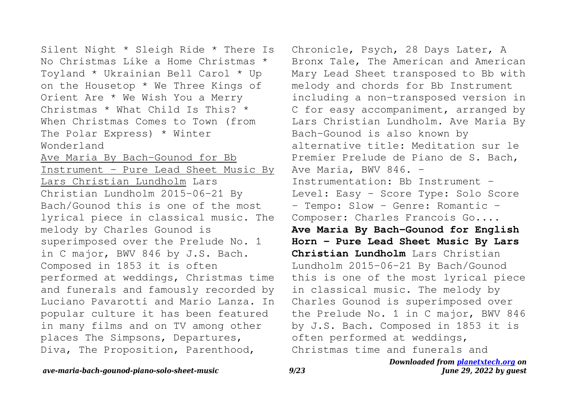Silent Night \* Sleigh Ride \* There Is No Christmas Like a Home Christmas \* Toyland \* Ukrainian Bell Carol \* Up on the Housetop \* We Three Kings of Orient Are \* We Wish You a Merry Christmas \* What Child Is This? \* When Christmas Comes to Town (from The Polar Express) \* Winter Wonderland Ave Maria By Bach-Gounod for Bb Instrument - Pure Lead Sheet Music By Lars Christian Lundholm Lars Christian Lundholm 2015-06-21 By Bach/Gounod this is one of the most lyrical piece in classical music. The melody by Charles Gounod is superimposed over the Prelude No. 1 in C major, BWV 846 by J.S. Bach. Composed in 1853 it is often performed at weddings, Christmas time and funerals and famously recorded by Luciano Pavarotti and Mario Lanza. In popular culture it has been featured in many films and on TV among other places The Simpsons, Departures, Diva, The Proposition, Parenthood,

*Downloaded from [planetxtech.org](https://planetxtech.org) on* Chronicle, Psych, 28 Days Later, A Bronx Tale, The American and American Mary Lead Sheet transposed to Bb with melody and chords for Bb Instrument including a non-transposed version in C for easy accompaniment, arranged by Lars Christian Lundholm. Ave Maria By Bach-Gounod is also known by alternative title: Meditation sur le Premier Prelude de Piano de S. Bach, Ave Maria, BWV 846. -Instrumentation: Bb Instrument - Level: Easy - Score Type: Solo Score - Tempo: Slow - Genre: Romantic -Composer: Charles Francois Go.... **Ave Maria By Bach-Gounod for English Horn - Pure Lead Sheet Music By Lars Christian Lundholm** Lars Christian Lundholm 2015-06-21 By Bach/Gounod this is one of the most lyrical piece in classical music. The melody by Charles Gounod is superimposed over the Prelude No. 1 in C major, BWV 846 by J.S. Bach. Composed in 1853 it is often performed at weddings, Christmas time and funerals and

# *ave-maria-bach-gounod-piano-solo-sheet-music 9/23*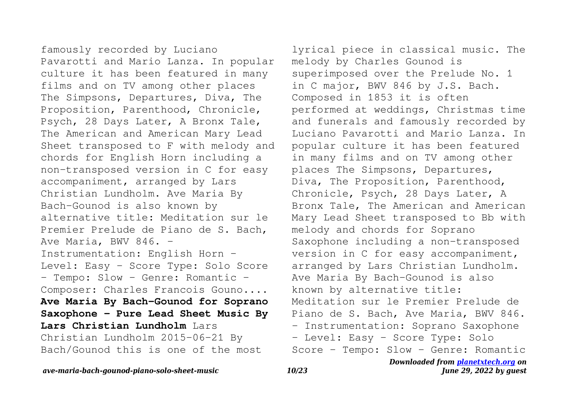famously recorded by Luciano Pavarotti and Mario Lanza. In popular culture it has been featured in many films and on TV among other places The Simpsons, Departures, Diva, The Proposition, Parenthood, Chronicle, Psych, 28 Days Later, A Bronx Tale, The American and American Mary Lead Sheet transposed to F with melody and chords for English Horn including a non-transposed version in C for easy accompaniment, arranged by Lars Christian Lundholm. Ave Maria By Bach-Gounod is also known by alternative title: Meditation sur le Premier Prelude de Piano de S. Bach, Ave Maria, BWV 846. -Instrumentation: English Horn - Level: Easy - Score Type: Solo Score - Tempo: Slow - Genre: Romantic -Composer: Charles Francois Gouno.... **Ave Maria By Bach-Gounod for Soprano Saxophone - Pure Lead Sheet Music By Lars Christian Lundholm** Lars Christian Lundholm 2015-06-21 By Bach/Gounod this is one of the most

*Downloaded from [planetxtech.org](https://planetxtech.org) on* lyrical piece in classical music. The melody by Charles Gounod is superimposed over the Prelude No. 1 in C major, BWV 846 by J.S. Bach. Composed in 1853 it is often performed at weddings, Christmas time and funerals and famously recorded by Luciano Pavarotti and Mario Lanza. In popular culture it has been featured in many films and on TV among other places The Simpsons, Departures, Diva, The Proposition, Parenthood, Chronicle, Psych, 28 Days Later, A Bronx Tale, The American and American Mary Lead Sheet transposed to Bb with melody and chords for Soprano Saxophone including a non-transposed version in C for easy accompaniment, arranged by Lars Christian Lundholm. Ave Maria By Bach-Gounod is also known by alternative title: Meditation sur le Premier Prelude de Piano de S. Bach, Ave Maria, BWV 846. - Instrumentation: Soprano Saxophone - Level: Easy - Score Type: Solo Score - Tempo: Slow - Genre: Romantic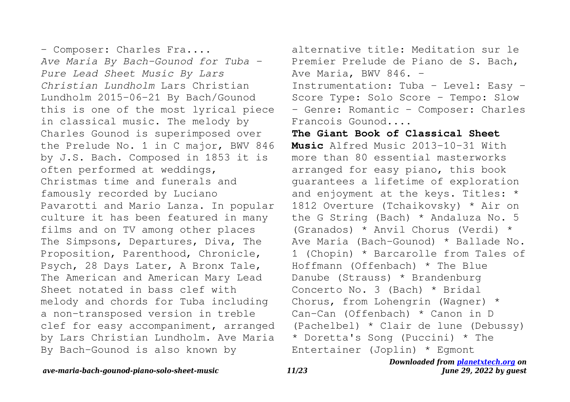- Composer: Charles Fra.... *Ave Maria By Bach-Gounod for Tuba - Pure Lead Sheet Music By Lars Christian Lundholm* Lars Christian Lundholm 2015-06-21 By Bach/Gounod this is one of the most lyrical piece in classical music. The melody by Charles Gounod is superimposed over the Prelude No. 1 in C major, BWV 846 by J.S. Bach. Composed in 1853 it is often performed at weddings, Christmas time and funerals and famously recorded by Luciano Pavarotti and Mario Lanza. In popular culture it has been featured in many films and on TV among other places The Simpsons, Departures, Diva, The Proposition, Parenthood, Chronicle, Psych, 28 Days Later, A Bronx Tale, The American and American Mary Lead Sheet notated in bass clef with melody and chords for Tuba including a non-transposed version in treble clef for easy accompaniment, arranged by Lars Christian Lundholm. Ave Maria By Bach-Gounod is also known by

alternative title: Meditation sur le Premier Prelude de Piano de S. Bach, Ave Maria, BWV 846. -Instrumentation: Tuba - Level: Easy - Score Type: Solo Score - Tempo: Slow - Genre: Romantic - Composer: Charles Francois Gounod....

*Downloaded from [planetxtech.org](https://planetxtech.org) on* **The Giant Book of Classical Sheet Music** Alfred Music 2013-10-31 With more than 80 essential masterworks arranged for easy piano, this book guarantees a lifetime of exploration and enjoyment at the keys. Titles: \* 1812 Overture (Tchaikovsky) \* Air on the G String (Bach) \* Andaluza No. 5 (Granados) \* Anvil Chorus (Verdi) \* Ave Maria (Bach-Gounod) \* Ballade No. 1 (Chopin) \* Barcarolle from Tales of Hoffmann (Offenbach) \* The Blue Danube (Strauss) \* Brandenburg Concerto No. 3 (Bach) \* Bridal Chorus, from Lohengrin (Wagner) \* Can-Can (Offenbach) \* Canon in D (Pachelbel) \* Clair de lune (Debussy) \* Doretta's Song (Puccini) \* The Entertainer (Joplin) \* Egmont

*June 29, 2022 by guest*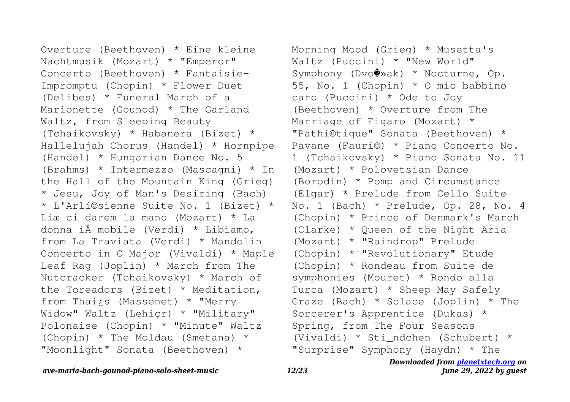Overture (Beethoven) \* Eine kleine Nachtmusik (Mozart) \* "Emperor" Concerto (Beethoven) \* Fantaisie-Impromptu (Chopin) \* Flower Duet (Delibes) \* Funeral March of a Marionette (Gounod) \* The Garland Waltz, from Sleeping Beauty (Tchaikovsky) \* Habanera (Bizet) \* Hallelujah Chorus (Handel) \* Hornpipe (Handel) \* Hungarian Dance No. 5 (Brahms) \* Intermezzo (Mascagni) \* In the Hall of the Mountain King (Grieg) \* Jesu, Joy of Man's Desiring (Bach) \* L'Arlí©sienne Suite No. 1 (Bizet) \* Líæ ci darem la mano (Mozart) \* La donna í $\hat{A}$  mobile (Verdi) \* Libiamo, from La Traviata (Verdi) \* Mandolin Concerto in C Major (Vivaldi) \* Maple Leaf Rag (Joplin) \* March from The Nutcracker (Tchaikovsky) \* March of the Toreadors (Bizet) \* Meditation, from Thaí¿s (Massenet) \* "Merry Widow" Waltz (Lehíçr) \* "Military" Polonaise (Chopin) \* "Minute" Waltz (Chopin) \* The Moldau (Smetana) \* "Moonlight" Sonata (Beethoven) \*

*Downloaded from [planetxtech.org](https://planetxtech.org) on* Morning Mood (Grieg) \* Musetta's Waltz (Puccini) \* "New World" Symphony (Dvo�»ak) \* Nocturne, Op. 55, No. 1 (Chopin) \* O mio babbino caro (Puccini) \* Ode to Joy (Beethoven) \* Overture from The Marriage of Figaro (Mozart) \* "Pathí©tique" Sonata (Beethoven) \* Pavane (Faurí©) \* Piano Concerto No. 1 (Tchaikovsky) \* Piano Sonata No. 11 (Mozart) \* Polovetsian Dance (Borodin) \* Pomp and Circumstance (Elgar) \* Prelude from Cello Suite No. 1 (Bach) \* Prelude, Op. 28, No. 4 (Chopin) \* Prince of Denmark's March (Clarke) \* Queen of the Night Aria (Mozart) \* "Raindrop" Prelude (Chopin) \* "Revolutionary" Etude (Chopin) \* Rondeau from Suite de symphonies (Mouret) \* Rondo alla Turca (Mozart) \* Sheep May Safely Graze (Bach) \* Solace (Joplin) \* The Sorcerer's Apprentice (Dukas) \* Spring, from The Four Seasons (Vivaldi) \* Stí\_ndchen (Schubert) \* "Surprise" Symphony (Haydn) \* The

# *ave-maria-bach-gounod-piano-solo-sheet-music 12/23*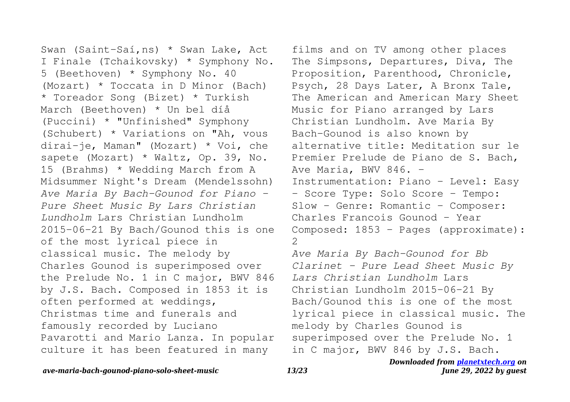Swan (Saint-Saí, ns) \* Swan Lake, Act I Finale (Tchaikovsky) \* Symphony No. 5 (Beethoven) \* Symphony No. 40 (Mozart) \* Toccata in D Minor (Bach) \* Toreador Song (Bizet) \* Turkish March (Beethoven) \* Un bel díå (Puccini) \* "Unfinished" Symphony (Schubert) \* Variations on "Ah, vous dirai-je, Maman" (Mozart) \* Voi, che sapete (Mozart) \* Waltz, Op. 39, No. 15 (Brahms) \* Wedding March from A Midsummer Night's Dream (Mendelssohn) *Ave Maria By Bach-Gounod for Piano - Pure Sheet Music By Lars Christian Lundholm* Lars Christian Lundholm 2015-06-21 By Bach/Gounod this is one of the most lyrical piece in classical music. The melody by Charles Gounod is superimposed over the Prelude No. 1 in C major, BWV 846 by J.S. Bach. Composed in 1853 it is often performed at weddings, Christmas time and funerals and famously recorded by Luciano Pavarotti and Mario Lanza. In popular culture it has been featured in many

films and on TV among other places The Simpsons, Departures, Diva, The Proposition, Parenthood, Chronicle, Psych, 28 Days Later, A Bronx Tale, The American and American Mary Sheet Music for Piano arranged by Lars Christian Lundholm. Ave Maria By Bach-Gounod is also known by alternative title: Meditation sur le Premier Prelude de Piano de S. Bach, Ave Maria, BWV 846.  $-$ Instrumentation: Piano - Level: Easy - Score Type: Solo Score - Tempo: Slow - Genre: Romantic - Composer: Charles Francois Gounod - Year Composed: 1853 - Pages (approximate): 2

*Ave Maria By Bach-Gounod for Bb Clarinet - Pure Lead Sheet Music By Lars Christian Lundholm* Lars Christian Lundholm 2015-06-21 By Bach/Gounod this is one of the most lyrical piece in classical music. The melody by Charles Gounod is superimposed over the Prelude No. 1 in C major, BWV 846 by J.S. Bach.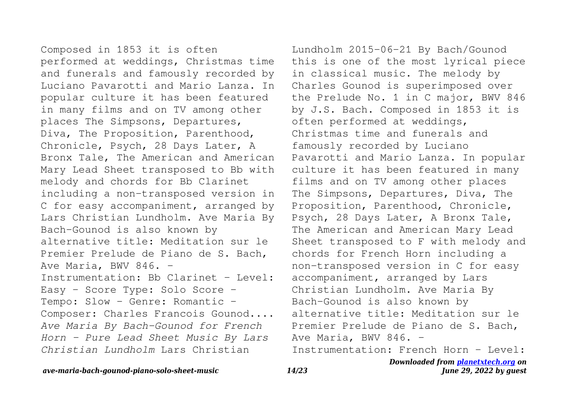Composed in 1853 it is often performed at weddings, Christmas time and funerals and famously recorded by Luciano Pavarotti and Mario Lanza. In popular culture it has been featured in many films and on TV among other places The Simpsons, Departures, Diva, The Proposition, Parenthood, Chronicle, Psych, 28 Days Later, A Bronx Tale, The American and American Mary Lead Sheet transposed to Bb with melody and chords for Bb Clarinet including a non-transposed version in C for easy accompaniment, arranged by Lars Christian Lundholm. Ave Maria By Bach-Gounod is also known by alternative title: Meditation sur le Premier Prelude de Piano de S. Bach, Ave Maria, BWV 846. -Instrumentation: Bb Clarinet - Level: Easy - Score Type: Solo Score - Tempo: Slow - Genre: Romantic - Composer: Charles Francois Gounod.... *Ave Maria By Bach-Gounod for French Horn - Pure Lead Sheet Music By Lars Christian Lundholm* Lars Christian

Lundholm 2015-06-21 By Bach/Gounod this is one of the most lyrical piece in classical music. The melody by Charles Gounod is superimposed over the Prelude No. 1 in C major, BWV 846 by J.S. Bach. Composed in 1853 it is often performed at weddings, Christmas time and funerals and famously recorded by Luciano Pavarotti and Mario Lanza. In popular culture it has been featured in many films and on TV among other places The Simpsons, Departures, Diva, The Proposition, Parenthood, Chronicle, Psych, 28 Days Later, A Bronx Tale, The American and American Mary Lead Sheet transposed to F with melody and chords for French Horn including a non-transposed version in C for easy accompaniment, arranged by Lars Christian Lundholm. Ave Maria By Bach-Gounod is also known by alternative title: Meditation sur le Premier Prelude de Piano de S. Bach, Ave Maria, BWV 846. -Instrumentation: French Horn - Level:

### *ave-maria-bach-gounod-piano-solo-sheet-music 14/23*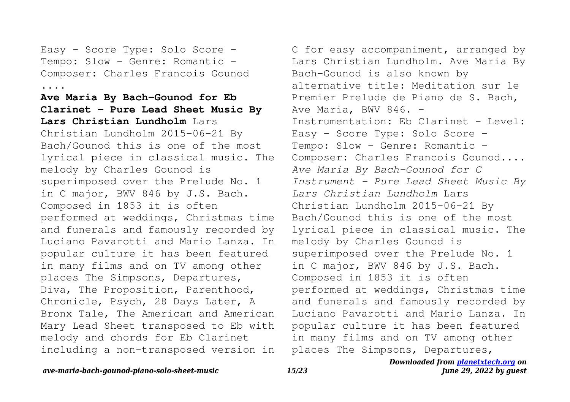Easy - Score Type: Solo Score - Tempo: Slow - Genre: Romantic -Composer: Charles Francois Gounod ....

# **Ave Maria By Bach-Gounod for Eb Clarinet - Pure Lead Sheet Music By Lars Christian Lundholm** Lars

Christian Lundholm 2015-06-21 By Bach/Gounod this is one of the most lyrical piece in classical music. The melody by Charles Gounod is superimposed over the Prelude No. 1 in C major, BWV 846 by J.S. Bach. Composed in 1853 it is often performed at weddings, Christmas time and funerals and famously recorded by Luciano Pavarotti and Mario Lanza. In popular culture it has been featured in many films and on TV among other places The Simpsons, Departures, Diva, The Proposition, Parenthood, Chronicle, Psych, 28 Days Later, A Bronx Tale, The American and American Mary Lead Sheet transposed to Eb with melody and chords for Eb Clarinet including a non-transposed version in

C for easy accompaniment, arranged by Lars Christian Lundholm. Ave Maria By Bach-Gounod is also known by alternative title: Meditation sur le Premier Prelude de Piano de S. Bach, Ave Maria, BWV 846. -Instrumentation: Eb Clarinet - Level: Easy - Score Type: Solo Score - Tempo: Slow - Genre: Romantic -Composer: Charles Francois Gounod.... *Ave Maria By Bach-Gounod for C Instrument - Pure Lead Sheet Music By Lars Christian Lundholm* Lars Christian Lundholm 2015-06-21 By Bach/Gounod this is one of the most lyrical piece in classical music. The melody by Charles Gounod is superimposed over the Prelude No. 1 in C major, BWV 846 by J.S. Bach. Composed in 1853 it is often performed at weddings, Christmas time and funerals and famously recorded by Luciano Pavarotti and Mario Lanza. In popular culture it has been featured in many films and on TV among other places The Simpsons, Departures,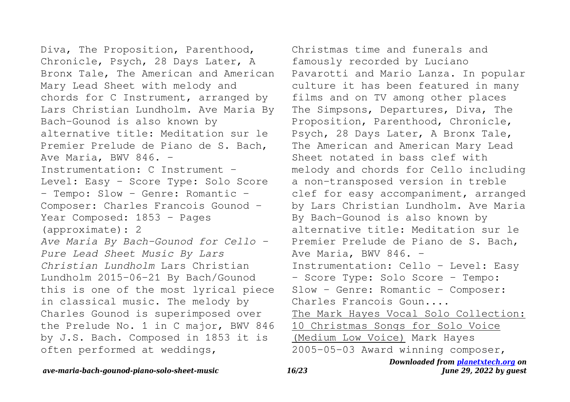Diva, The Proposition, Parenthood, Chronicle, Psych, 28 Days Later, A Bronx Tale, The American and American Mary Lead Sheet with melody and chords for C Instrument, arranged by Lars Christian Lundholm. Ave Maria By Bach-Gounod is also known by alternative title: Meditation sur le Premier Prelude de Piano de S. Bach, Ave Maria, BWV 846. -Instrumentation: C Instrument - Level: Easy - Score Type: Solo Score - Tempo: Slow - Genre: Romantic -Composer: Charles Francois Gounod - Year Composed: 1853 - Pages (approximate): 2 *Ave Maria By Bach-Gounod for Cello - Pure Lead Sheet Music By Lars Christian Lundholm* Lars Christian Lundholm 2015-06-21 By Bach/Gounod this is one of the most lyrical piece in classical music. The melody by Charles Gounod is superimposed over the Prelude No. 1 in C major, BWV 846 by J.S. Bach. Composed in 1853 it is often performed at weddings,

Christmas time and funerals and famously recorded by Luciano Pavarotti and Mario Lanza. In popular culture it has been featured in many films and on TV among other places The Simpsons, Departures, Diva, The Proposition, Parenthood, Chronicle, Psych, 28 Days Later, A Bronx Tale, The American and American Mary Lead Sheet notated in bass clef with melody and chords for Cello including a non-transposed version in treble clef for easy accompaniment, arranged by Lars Christian Lundholm. Ave Maria By Bach-Gounod is also known by alternative title: Meditation sur le Premier Prelude de Piano de S. Bach, Ave Maria, BWV 846. -Instrumentation: Cello - Level: Easy - Score Type: Solo Score - Tempo: Slow - Genre: Romantic - Composer: Charles Francois Goun.... The Mark Hayes Vocal Solo Collection: 10 Christmas Songs for Solo Voice (Medium Low Voice) Mark Hayes 2005-05-03 Award winning composer,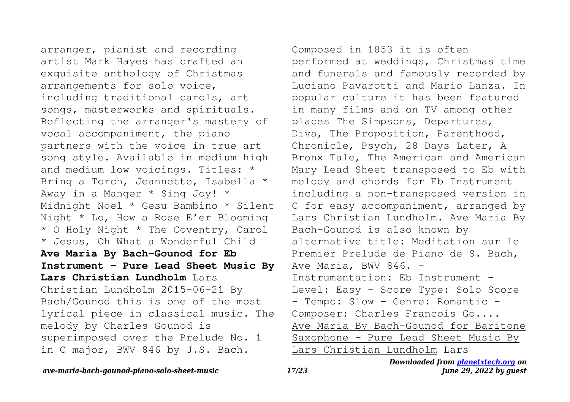arranger, pianist and recording artist Mark Hayes has crafted an exquisite anthology of Christmas arrangements for solo voice, including traditional carols, art songs, masterworks and spirituals. Reflecting the arranger's mastery of vocal accompaniment, the piano partners with the voice in true art song style. Available in medium high and medium low voicings. Titles: \* Bring a Torch, Jeannette, Isabella \* Away in a Manger \* Sing Joy! \* Midnight Noel \* Gesu Bambino \* Silent Night \* Lo, How a Rose E'er Blooming \* O Holy Night \* The Coventry, Carol \* Jesus, Oh What a Wonderful Child **Ave Maria By Bach-Gounod for Eb Instrument - Pure Lead Sheet Music By Lars Christian Lundholm** Lars Christian Lundholm 2015-06-21 By Bach/Gounod this is one of the most lyrical piece in classical music. The melody by Charles Gounod is superimposed over the Prelude No. 1 in C major, BWV 846 by J.S. Bach.

Composed in 1853 it is often performed at weddings, Christmas time and funerals and famously recorded by Luciano Pavarotti and Mario Lanza. In popular culture it has been featured in many films and on TV among other places The Simpsons, Departures, Diva, The Proposition, Parenthood, Chronicle, Psych, 28 Days Later, A Bronx Tale, The American and American Mary Lead Sheet transposed to Eb with melody and chords for Eb Instrument including a non-transposed version in C for easy accompaniment, arranged by Lars Christian Lundholm. Ave Maria By Bach-Gounod is also known by alternative title: Meditation sur le Premier Prelude de Piano de S. Bach, Ave Maria, BWV 846. -Instrumentation: Eb Instrument - Level: Easy - Score Type: Solo Score - Tempo: Slow - Genre: Romantic -Composer: Charles Francois Go.... Ave Maria By Bach-Gounod for Baritone Saxophone - Pure Lead Sheet Music By Lars Christian Lundholm Lars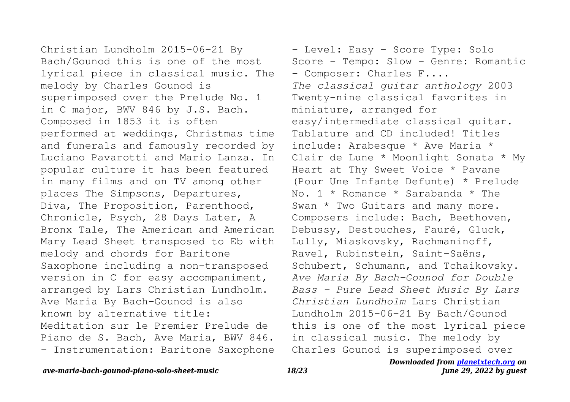Christian Lundholm 2015-06-21 By Bach/Gounod this is one of the most lyrical piece in classical music. The melody by Charles Gounod is superimposed over the Prelude No. 1 in C major, BWV 846 by J.S. Bach. Composed in 1853 it is often performed at weddings, Christmas time and funerals and famously recorded by Luciano Pavarotti and Mario Lanza. In popular culture it has been featured in many films and on TV among other places The Simpsons, Departures, Diva, The Proposition, Parenthood, Chronicle, Psych, 28 Days Later, A Bronx Tale, The American and American Mary Lead Sheet transposed to Eb with melody and chords for Baritone Saxophone including a non-transposed version in C for easy accompaniment, arranged by Lars Christian Lundholm. Ave Maria By Bach-Gounod is also known by alternative title: Meditation sur le Premier Prelude de Piano de S. Bach, Ave Maria, BWV 846. - Instrumentation: Baritone Saxophone

- Level: Easy - Score Type: Solo Score - Tempo: Slow - Genre: Romantic - Composer: Charles F.... *The classical guitar anthology* 2003 Twenty-nine classical favorites in miniature, arranged for easy/intermediate classical guitar. Tablature and CD included! Titles include: Arabesque \* Ave Maria \* Clair de Lune \* Moonlight Sonata \* My Heart at Thy Sweet Voice \* Pavane (Pour Une Infante Defunte) \* Prelude No. 1 \* Romance \* Sarabanda \* The Swan \* Two Guitars and many more. Composers include: Bach, Beethoven, Debussy, Destouches, Fauré, Gluck, Lully, Miaskovsky, Rachmaninoff, Ravel, Rubinstein, Saint-Saëns, Schubert, Schumann, and Tchaikovsky. *Ave Maria By Bach-Gounod for Double Bass - Pure Lead Sheet Music By Lars Christian Lundholm* Lars Christian Lundholm 2015-06-21 By Bach/Gounod this is one of the most lyrical piece in classical music. The melody by Charles Gounod is superimposed over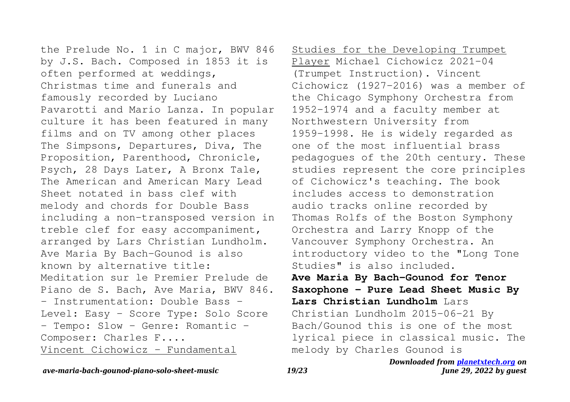the Prelude No. 1 in C major, BWV 846 by J.S. Bach. Composed in 1853 it is often performed at weddings, Christmas time and funerals and famously recorded by Luciano Pavarotti and Mario Lanza. In popular culture it has been featured in many films and on TV among other places The Simpsons, Departures, Diva, The Proposition, Parenthood, Chronicle, Psych, 28 Days Later, A Bronx Tale, The American and American Mary Lead Sheet notated in bass clef with melody and chords for Double Bass including a non-transposed version in treble clef for easy accompaniment, arranged by Lars Christian Lundholm. Ave Maria By Bach-Gounod is also known by alternative title: Meditation sur le Premier Prelude de Piano de S. Bach, Ave Maria, BWV 846. - Instrumentation: Double Bass - Level: Easy - Score Type: Solo Score - Tempo: Slow - Genre: Romantic -Composer: Charles F.... Vincent Cichowicz - Fundamental

Studies for the Developing Trumpet Player Michael Cichowicz 2021-04 (Trumpet Instruction). Vincent Cichowicz (1927-2016) was a member of the Chicago Symphony Orchestra from 1952-1974 and a faculty member at Northwestern University from 1959-1998. He is widely regarded as one of the most influential brass pedagogues of the 20th century. These studies represent the core principles of Cichowicz's teaching. The book includes access to demonstration audio tracks online recorded by Thomas Rolfs of the Boston Symphony Orchestra and Larry Knopp of the Vancouver Symphony Orchestra. An introductory video to the "Long Tone Studies" is also included. **Ave Maria By Bach-Gounod for Tenor Saxophone - Pure Lead Sheet Music By Lars Christian Lundholm** Lars Christian Lundholm 2015-06-21 By Bach/Gounod this is one of the most lyrical piece in classical music. The melody by Charles Gounod is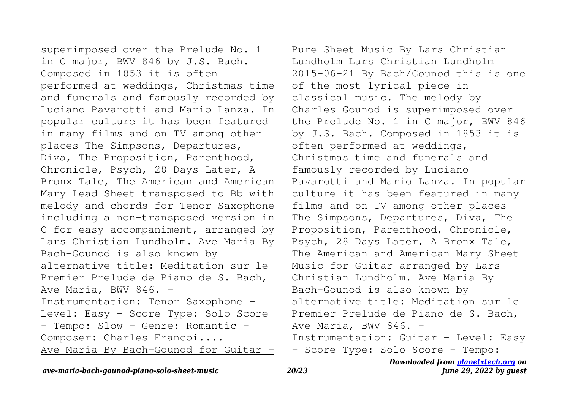superimposed over the Prelude No. 1 in C major, BWV 846 by J.S. Bach. Composed in 1853 it is often performed at weddings, Christmas time and funerals and famously recorded by Luciano Pavarotti and Mario Lanza. In popular culture it has been featured in many films and on TV among other places The Simpsons, Departures, Diva, The Proposition, Parenthood, Chronicle, Psych, 28 Days Later, A Bronx Tale, The American and American Mary Lead Sheet transposed to Bb with melody and chords for Tenor Saxophone including a non-transposed version in C for easy accompaniment, arranged by Lars Christian Lundholm. Ave Maria By Bach-Gounod is also known by alternative title: Meditation sur le Premier Prelude de Piano de S. Bach, Ave Maria, BWV 846. -Instrumentation: Tenor Saxophone - Level: Easy - Score Type: Solo Score - Tempo: Slow - Genre: Romantic -Composer: Charles Francoi.... Ave Maria By Bach-Gounod for Guitar -

Pure Sheet Music By Lars Christian Lundholm Lars Christian Lundholm 2015-06-21 By Bach/Gounod this is one of the most lyrical piece in classical music. The melody by Charles Gounod is superimposed over the Prelude No. 1 in C major, BWV 846 by J.S. Bach. Composed in 1853 it is often performed at weddings, Christmas time and funerals and famously recorded by Luciano Pavarotti and Mario Lanza. In popular culture it has been featured in many films and on TV among other places The Simpsons, Departures, Diva, The Proposition, Parenthood, Chronicle, Psych, 28 Days Later, A Bronx Tale, The American and American Mary Sheet Music for Guitar arranged by Lars Christian Lundholm. Ave Maria By Bach-Gounod is also known by alternative title: Meditation sur le Premier Prelude de Piano de S. Bach, Ave Maria, BWV  $846. -$ Instrumentation: Guitar - Level: Easy - Score Type: Solo Score - Tempo: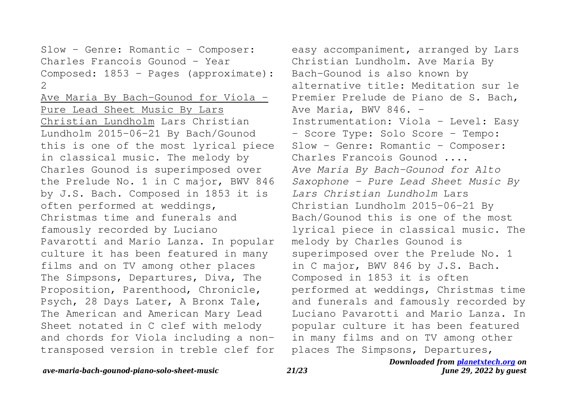Slow - Genre: Romantic - Composer: Charles Francois Gounod - Year Composed: 1853 - Pages (approximate): 2

Ave Maria By Bach-Gounod for Viola -Pure Lead Sheet Music By Lars Christian Lundholm Lars Christian Lundholm 2015-06-21 By Bach/Gounod this is one of the most lyrical piece in classical music. The melody by Charles Gounod is superimposed over the Prelude No. 1 in C major, BWV 846 by J.S. Bach. Composed in 1853 it is often performed at weddings, Christmas time and funerals and famously recorded by Luciano Pavarotti and Mario Lanza. In popular culture it has been featured in many films and on TV among other places The Simpsons, Departures, Diva, The Proposition, Parenthood, Chronicle, Psych, 28 Days Later, A Bronx Tale, The American and American Mary Lead Sheet notated in C clef with melody and chords for Viola including a nontransposed version in treble clef for

easy accompaniment, arranged by Lars Christian Lundholm. Ave Maria By Bach-Gounod is also known by alternative title: Meditation sur le Premier Prelude de Piano de S. Bach, Ave Maria, BWV 846. -Instrumentation: Viola - Level: Easy - Score Type: Solo Score - Tempo: Slow - Genre: Romantic - Composer: Charles Francois Gounod .... *Ave Maria By Bach-Gounod for Alto Saxophone - Pure Lead Sheet Music By Lars Christian Lundholm* Lars Christian Lundholm 2015-06-21 By Bach/Gounod this is one of the most lyrical piece in classical music. The melody by Charles Gounod is superimposed over the Prelude No. 1 in C major, BWV 846 by J.S. Bach. Composed in 1853 it is often performed at weddings, Christmas time and funerals and famously recorded by Luciano Pavarotti and Mario Lanza. In popular culture it has been featured in many films and on TV among other places The Simpsons, Departures,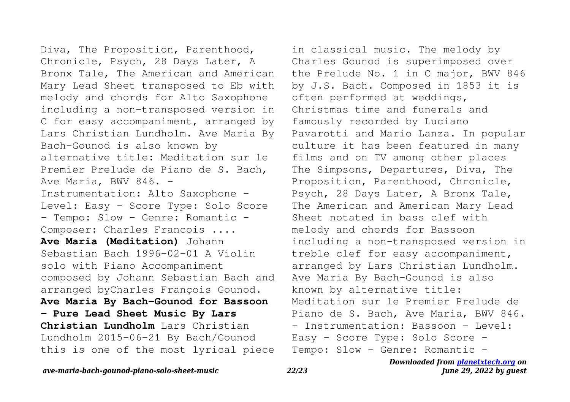Diva, The Proposition, Parenthood, Chronicle, Psych, 28 Days Later, A Bronx Tale, The American and American Mary Lead Sheet transposed to Eb with melody and chords for Alto Saxophone including a non-transposed version in C for easy accompaniment, arranged by Lars Christian Lundholm. Ave Maria By Bach-Gounod is also known by alternative title: Meditation sur le Premier Prelude de Piano de S. Bach, Ave Maria, BWV 846. -Instrumentation: Alto Saxophone - Level: Easy - Score Type: Solo Score - Tempo: Slow - Genre: Romantic -Composer: Charles Francois .... **Ave Maria (Meditation)** Johann Sebastian Bach 1996-02-01 A Violin solo with Piano Accompaniment composed by Johann Sebastian Bach and arranged byCharles François Gounod. **Ave Maria By Bach-Gounod for Bassoon - Pure Lead Sheet Music By Lars Christian Lundholm** Lars Christian Lundholm 2015-06-21 By Bach/Gounod this is one of the most lyrical piece

in classical music. The melody by Charles Gounod is superimposed over the Prelude No. 1 in C major, BWV 846 by J.S. Bach. Composed in 1853 it is often performed at weddings, Christmas time and funerals and famously recorded by Luciano Pavarotti and Mario Lanza. In popular culture it has been featured in many films and on TV among other places The Simpsons, Departures, Diva, The Proposition, Parenthood, Chronicle, Psych, 28 Days Later, A Bronx Tale, The American and American Mary Lead Sheet notated in bass clef with melody and chords for Bassoon including a non-transposed version in treble clef for easy accompaniment, arranged by Lars Christian Lundholm. Ave Maria By Bach-Gounod is also known by alternative title: Meditation sur le Premier Prelude de Piano de S. Bach, Ave Maria, BWV 846. - Instrumentation: Bassoon - Level: Easy - Score Type: Solo Score - Tempo: Slow - Genre: Romantic -